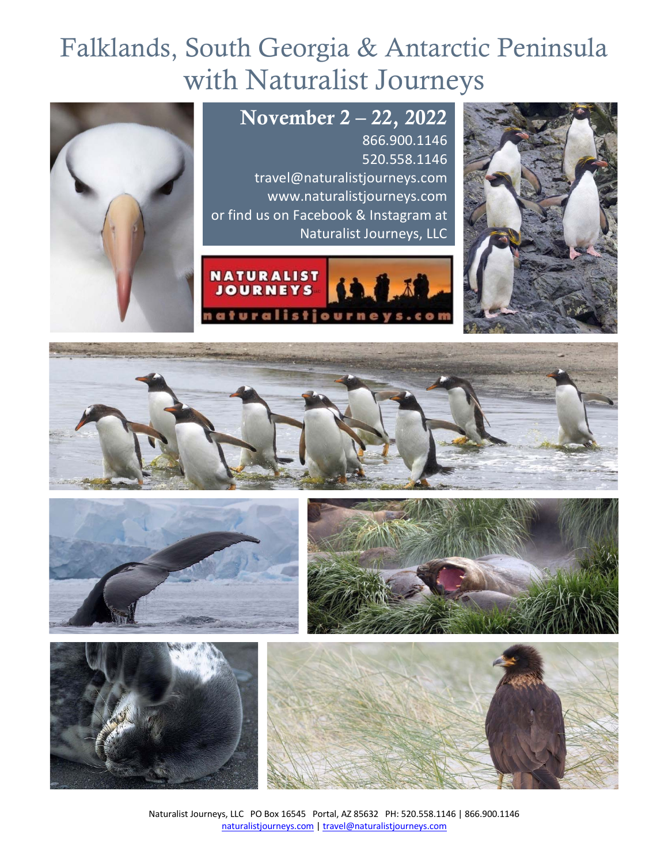# Falklands, South Georgia & Antarctic Peninsula with Naturalist Journeys















Naturalist Journeys, LLC PO Box 16545 Portal, AZ 85632 PH: 520.558.1146 | 866.900.1146 naturalistjourneys.com | travel@naturalistjourneys.com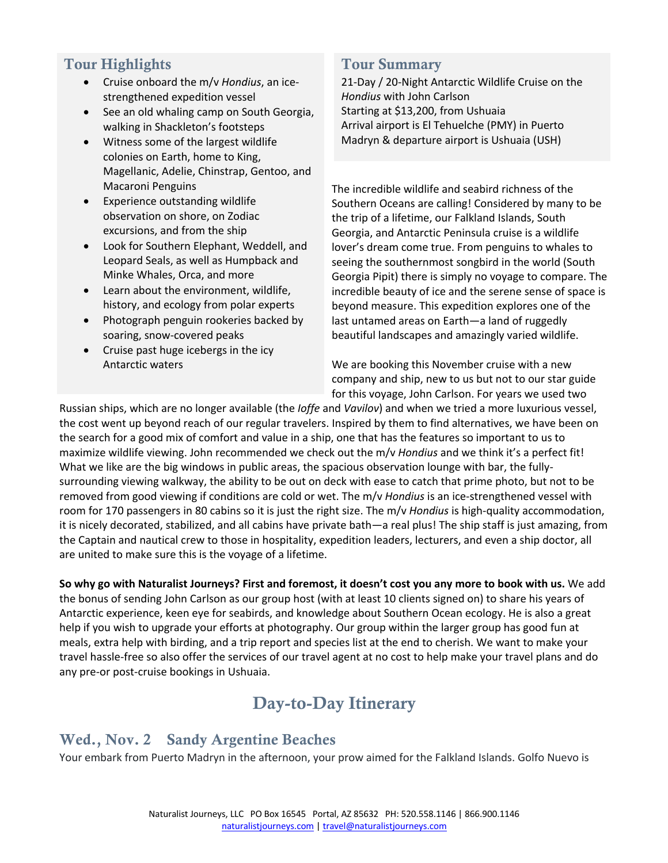### Tour Highlights

- Cruise onboard the m/v *Hondius*, an icestrengthened expedition vessel
- See an old whaling camp on South Georgia, walking in Shackleton's footsteps
- Witness some of the largest wildlife colonies on Earth, home to King, Magellanic, Adelie, Chinstrap, Gentoo, and Macaroni Penguins
- Experience outstanding wildlife observation on shore, on Zodiac excursions, and from the ship
- Look for Southern Elephant, Weddell, and Leopard Seals, as well as Humpback and Minke Whales, Orca, and more
- Learn about the environment, wildlife, history, and ecology from polar experts
- Photograph penguin rookeries backed by soaring, snow-covered peaks
- Cruise past huge icebergs in the icy Antarctic waters

#### Tour Summary

21-Day / 20-Night Antarctic Wildlife Cruise on the *Hondius* with John Carlson Starting at \$13,200, from Ushuaia Arrival airport is El Tehuelche (PMY) in Puerto Madryn & departure airport is Ushuaia (USH)

The incredible wildlife and seabird richness of the Southern Oceans are calling! Considered by many to be the trip of a lifetime, our Falkland Islands, South Georgia, and Antarctic Peninsula cruise is a wildlife lover's dream come true. From penguins to whales to seeing the southernmost songbird in the world (South Georgia Pipit) there is simply no voyage to compare. The incredible beauty of ice and the serene sense of space is beyond measure. This expedition explores one of the last untamed areas on Earth—a land of ruggedly beautiful landscapes and amazingly varied wildlife.

We are booking this November cruise with a new company and ship, new to us but not to our star guide for this voyage, John Carlson. For years we used two

Russian ships, which are no longer available (the *Ioffe* and *Vavilov*) and when we tried a more luxurious vessel, the cost went up beyond reach of our regular travelers. Inspired by them to find alternatives, we have been on the search for a good mix of comfort and value in a ship, one that has the features so important to us to maximize wildlife viewing. John recommended we check out the m/v *Hondius* and we think it's a perfect fit! What we like are the big windows in public areas, the spacious observation lounge with bar, the fullysurrounding viewing walkway, the ability to be out on deck with ease to catch that prime photo, but not to be removed from good viewing if conditions are cold or wet. The m/v *Hondius* is an ice-strengthened vessel with room for 170 passengers in 80 cabins so it is just the right size. The m/v *Hondius* is high-quality accommodation, it is nicely decorated, stabilized, and all cabins have private bath—a real plus! The ship staff is just amazing, from the Captain and nautical crew to those in hospitality, expedition leaders, lecturers, and even a ship doctor, all are united to make sure this is the voyage of a lifetime.

**So why go with Naturalist Journeys? First and foremost, it doesn't cost you any more to book with us.** We add the bonus of sending John Carlson as our group host (with at least 10 clients signed on) to share his years of Antarctic experience, keen eye for seabirds, and knowledge about Southern Ocean ecology. He is also a great help if you wish to upgrade your efforts at photography. Our group within the larger group has good fun at meals, extra help with birding, and a trip report and species list at the end to cherish. We want to make your travel hassle-free so also offer the services of our travel agent at no cost to help make your travel plans and do any pre-or post-cruise bookings in Ushuaia.

# Day-to-Day Itinerary

### Wed., Nov. 2 Sandy Argentine Beaches

Your embark from Puerto Madryn in the afternoon, your prow aimed for the Falkland Islands. Golfo Nuevo is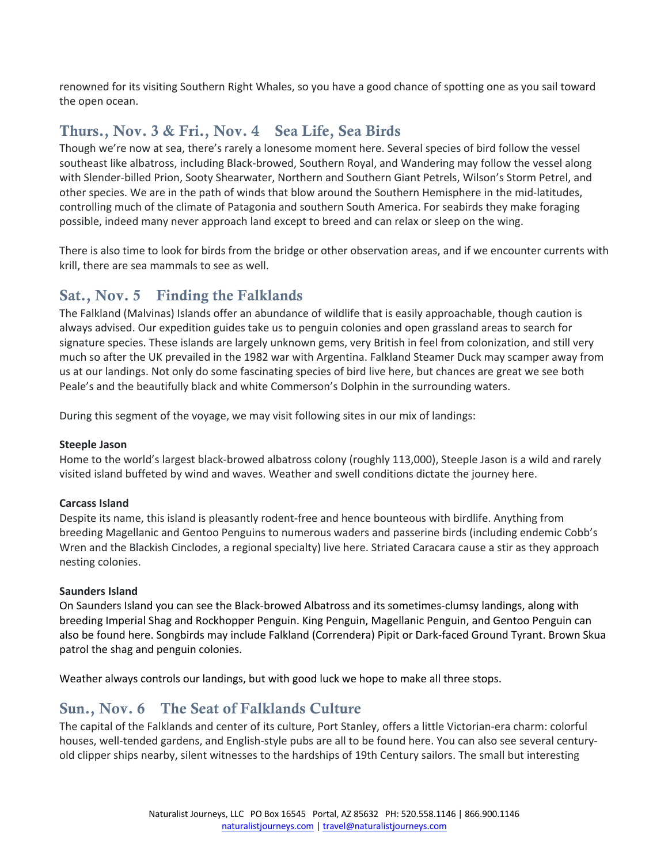renowned for its visiting Southern Right Whales, so you have a good chance of spotting one as you sail toward the open ocean.

### Thurs., Nov. 3 & Fri., Nov. 4 Sea Life, Sea Birds

Though we're now at sea, there's rarely a lonesome moment here. Several species of bird follow the vessel southeast like albatross, including Black-browed, Southern Royal, and Wandering may follow the vessel along with Slender-billed Prion, Sooty Shearwater, Northern and Southern Giant Petrels, Wilson's Storm Petrel, and other species. We are in the path of winds that blow around the Southern Hemisphere in the mid-latitudes, controlling much of the climate of Patagonia and southern South America. For seabirds they make foraging possible, indeed many never approach land except to breed and can relax or sleep on the wing.

There is also time to look for birds from the bridge or other observation areas, and if we encounter currents with krill, there are sea mammals to see as well.

### Sat., Nov. 5 Finding the Falklands

The Falkland (Malvinas) Islands offer an abundance of wildlife that is easily approachable, though caution is always advised. Our expedition guides take us to penguin colonies and open grassland areas to search for signature species. These islands are largely unknown gems, very British in feel from colonization, and still very much so after the UK prevailed in the 1982 war with Argentina. Falkland Steamer Duck may scamper away from us at our landings. Not only do some fascinating species of bird live here, but chances are great we see both Peale's and the beautifully black and white Commerson's Dolphin in the surrounding waters.

During this segment of the voyage, we may visit following sites in our mix of landings:

#### **Steeple Jason**

Home to the world's largest black-browed albatross colony (roughly 113,000), Steeple Jason is a wild and rarely visited island buffeted by wind and waves. Weather and swell conditions dictate the journey here.

#### **Carcass Island**

Despite its name, this island is pleasantly rodent-free and hence bounteous with birdlife. Anything from breeding Magellanic and Gentoo Penguins to numerous waders and passerine birds (including endemic Cobb's Wren and the Blackish Cinclodes, a regional specialty) live here. Striated Caracara cause a stir as they approach nesting colonies.

#### **Saunders Island**

On Saunders Island you can see the Black-browed Albatross and its sometimes-clumsy landings, along with breeding Imperial Shag and Rockhopper Penguin. King Penguin, Magellanic Penguin, and Gentoo Penguin can also be found here. Songbirds may include Falkland (Correndera) Pipit or Dark-faced Ground Tyrant. Brown Skua patrol the shag and penguin colonies.

Weather always controls our landings, but with good luck we hope to make all three stops.

### Sun., Nov. 6 The Seat of Falklands Culture

The capital of the Falklands and center of its culture, Port Stanley, offers a little Victorian-era charm: colorful houses, well-tended gardens, and English-style pubs are all to be found here. You can also see several centuryold clipper ships nearby, silent witnesses to the hardships of 19th Century sailors. The small but interesting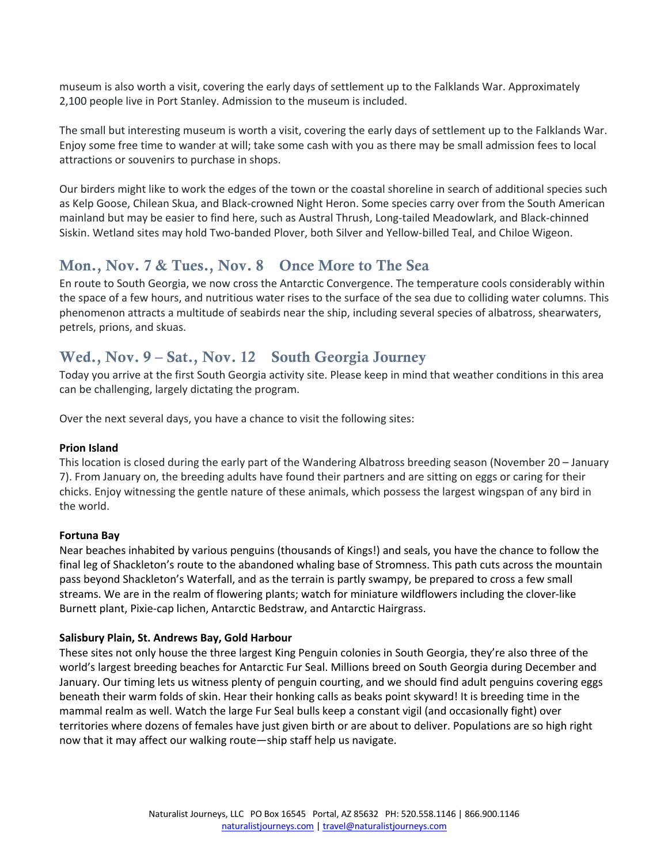museum is also worth a visit, covering the early days of settlement up to the Falklands War. Approximately 2,100 people live in Port Stanley. Admission to the museum is included.

The small but interesting museum is worth a visit, covering the early days of settlement up to the Falklands War. Enjoy some free time to wander at will; take some cash with you as there may be small admission fees to local attractions or souvenirs to purchase in shops.

Our birders might like to work the edges of the town or the coastal shoreline in search of additional species such as Kelp Goose, Chilean Skua, and Black-crowned Night Heron. Some species carry over from the South American mainland but may be easier to find here, such as Austral Thrush, Long-tailed Meadowlark, and Black-chinned Siskin. Wetland sites may hold Two-banded Plover, both Silver and Yellow-billed Teal, and Chiloe Wigeon.

### Mon., Nov. 7 & Tues., Nov. 8 Once More to The Sea

En route to South Georgia, we now cross the Antarctic Convergence. The temperature cools considerably within the space of a few hours, and nutritious water rises to the surface of the sea due to colliding water columns. This phenomenon attracts a multitude of seabirds near the ship, including several species of albatross, shearwaters, petrels, prions, and skuas.

### Wed., Nov. 9 – Sat., Nov. 12 South Georgia Journey

Today you arrive at the first South Georgia activity site. Please keep in mind that weather conditions in this area can be challenging, largely dictating the program.

Over the next several days, you have a chance to visit the following sites:

#### **Prion Island**

This location is closed during the early part of the Wandering Albatross breeding season (November 20 – January 7). From January on, the breeding adults have found their partners and are sitting on eggs or caring for their chicks. Enjoy witnessing the gentle nature of these animals, which possess the largest wingspan of any bird in the world.

#### **Fortuna Bay**

Near beaches inhabited by various penguins (thousands of Kings!) and seals, you have the chance to follow the final leg of Shackleton's route to the abandoned whaling base of Stromness. This path cuts across the mountain pass beyond Shackleton's Waterfall, and as the terrain is partly swampy, be prepared to cross a few small streams. We are in the realm of flowering plants; watch for miniature wildflowers including the clover-like Burnett plant, Pixie-cap lichen, Antarctic Bedstraw, and Antarctic Hairgrass.

#### **Salisbury Plain, St. Andrews Bay, Gold Harbour**

These sites not only house the three largest King Penguin colonies in South Georgia, they're also three of the world's largest breeding beaches for Antarctic Fur Seal. Millions breed on South Georgia during December and January. Our timing lets us witness plenty of penguin courting, and we should find adult penguins covering eggs beneath their warm folds of skin. Hear their honking calls as beaks point skyward! It is breeding time in the mammal realm as well. Watch the large Fur Seal bulls keep a constant vigil (and occasionally fight) over territories where dozens of females have just given birth or are about to deliver. Populations are so high right now that it may affect our walking route—ship staff help us navigate.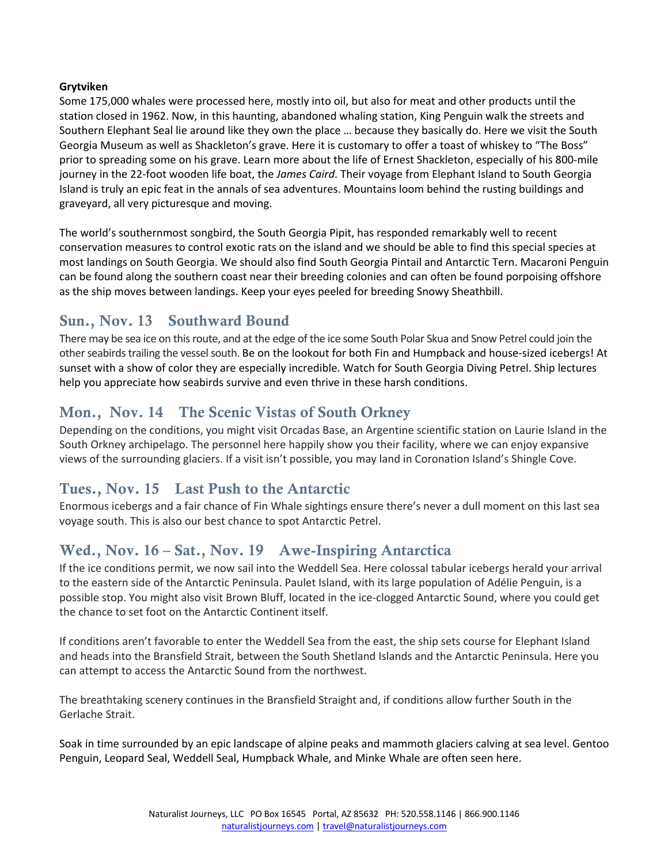#### **Grytviken**

Some 175,000 whales were processed here, mostly into oil, but also for meat and other products until the station closed in 1962. Now, in this haunting, abandoned whaling station, King Penguin walk the streets and Southern Elephant Seal lie around like they own the place … because they basically do. Here we visit the South Georgia Museum as well as Shackleton's grave. Here it is customary to offer a toast of whiskey to "The Boss" prior to spreading some on his grave. Learn more about the life of Ernest Shackleton, especially of his 800-mile journey in the 22-foot wooden life boat, the *James Caird*. Their voyage from Elephant Island to South Georgia Island is truly an epic feat in the annals of sea adventures. Mountains loom behind the rusting buildings and graveyard, all very picturesque and moving.

The world's southernmost songbird, the South Georgia Pipit, has responded remarkably well to recent conservation measures to control exotic rats on the island and we should be able to find this special species at most landings on South Georgia. We should also find South Georgia Pintail and Antarctic Tern. Macaroni Penguin can be found along the southern coast near their breeding colonies and can often be found porpoising offshore as the ship moves between landings. Keep your eyes peeled for breeding Snowy Sheathbill.

### Sun., Nov. 13 Southward Bound

There may be sea ice on this route, and at the edge of the ice some South Polar Skua and Snow Petrel could join the other seabirds trailing the vessel south. Be on the lookout for both Fin and Humpback and house-sized icebergs! At sunset with a show of color they are especially incredible. Watch for South Georgia Diving Petrel. Ship lectures help you appreciate how seabirds survive and even thrive in these harsh conditions.

### Mon., Nov. 14 The Scenic Vistas of South Orkney

Depending on the conditions, you might visit Orcadas Base, an Argentine scientific station on Laurie Island in the South Orkney archipelago. The personnel here happily show you their facility, where we can enjoy expansive views of the surrounding glaciers. If a visit isn't possible, you may land in Coronation Island's Shingle Cove.

### Tues., Nov. 15 Last Push to the Antarctic

Enormous icebergs and a fair chance of Fin Whale sightings ensure there's never a dull moment on this last sea voyage south. This is also our best chance to spot Antarctic Petrel.

### Wed., Nov. 16 – Sat., Nov. 19 Awe-Inspiring Antarctica

If the ice conditions permit, we now sail into the Weddell Sea. Here colossal tabular icebergs herald your arrival to the eastern side of the Antarctic Peninsula. Paulet Island, with its large population of Adélie Penguin, is a possible stop. You might also visit Brown Bluff, located in the ice-clogged Antarctic Sound, where you could get the chance to set foot on the Antarctic Continent itself.

If conditions aren't favorable to enter the Weddell Sea from the east, the ship sets course for Elephant Island and heads into the Bransfield Strait, between the South Shetland Islands and the Antarctic Peninsula. Here you can attempt to access the Antarctic Sound from the northwest.

The breathtaking scenery continues in the Bransfield Straight and, if conditions allow further South in the Gerlache Strait.

Soak in time surrounded by an epic landscape of alpine peaks and mammoth glaciers calving at sea level. Gentoo Penguin, Leopard Seal, Weddell Seal, Humpback Whale, and Minke Whale are often seen here.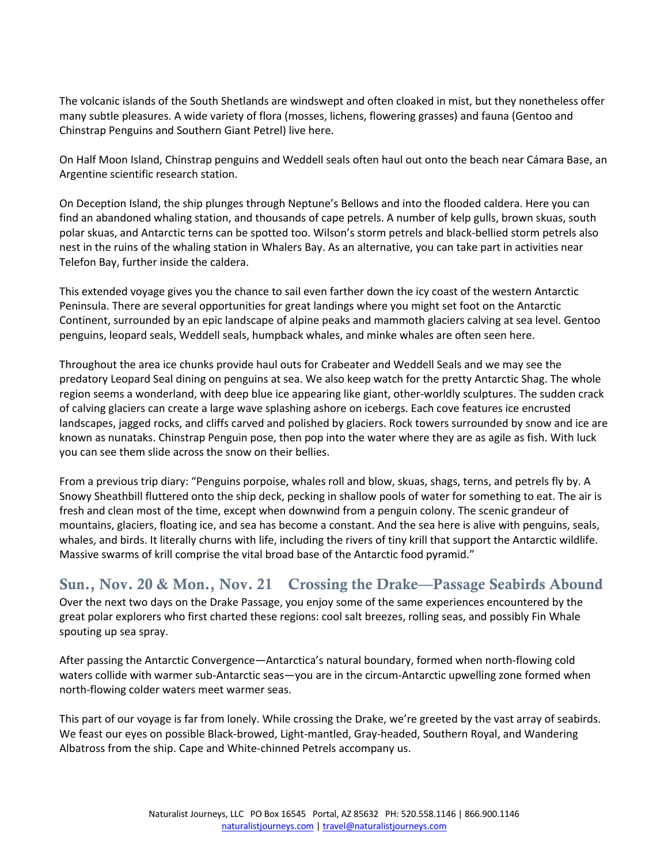The volcanic islands of the South Shetlands are windswept and often cloaked in mist, but they nonetheless offer many subtle pleasures. A wide variety of flora (mosses, lichens, flowering grasses) and fauna (Gentoo and Chinstrap Penguins and Southern Giant Petrel) live here.

On Half Moon Island, Chinstrap penguins and Weddell seals often haul out onto the beach near Cámara Base, an Argentine scientific research station.

On Deception Island, the ship plunges through Neptune's Bellows and into the flooded caldera. Here you can find an abandoned whaling station, and thousands of cape petrels. A number of kelp gulls, brown skuas, south polar skuas, and Antarctic terns can be spotted too. Wilson's storm petrels and black-bellied storm petrels also nest in the ruins of the whaling station in Whalers Bay. As an alternative, you can take part in activities near Telefon Bay, further inside the caldera.

This extended voyage gives you the chance to sail even farther down the icy coast of the western Antarctic Peninsula. There are several opportunities for great landings where you might set foot on the Antarctic Continent, surrounded by an epic landscape of alpine peaks and mammoth glaciers calving at sea level. Gentoo penguins, leopard seals, Weddell seals, humpback whales, and minke whales are often seen here.

Throughout the area ice chunks provide haul outs for Crabeater and Weddell Seals and we may see the predatory Leopard Seal dining on penguins at sea. We also keep watch for the pretty Antarctic Shag. The whole region seems a wonderland, with deep blue ice appearing like giant, other-worldly sculptures. The sudden crack of calving glaciers can create a large wave splashing ashore on icebergs. Each cove features ice encrusted landscapes, jagged rocks, and cliffs carved and polished by glaciers. Rock towers surrounded by snow and ice are known as nunataks. Chinstrap Penguin pose, then pop into the water where they are as agile as fish. With luck you can see them slide across the snow on their bellies.

From a previous trip diary: "Penguins porpoise, whales roll and blow, skuas, shags, terns, and petrels fly by. A Snowy Sheathbill fluttered onto the ship deck, pecking in shallow pools of water for something to eat. The air is fresh and clean most of the time, except when downwind from a penguin colony. The scenic grandeur of mountains, glaciers, floating ice, and sea has become a constant. And the sea here is alive with penguins, seals, whales, and birds. It literally churns with life, including the rivers of tiny krill that support the Antarctic wildlife. Massive swarms of krill comprise the vital broad base of the Antarctic food pyramid."

### Sun., Nov. 20 & Mon., Nov. 21 Crossing the Drake—Passage Seabirds Abound

Over the next two days on the Drake Passage, you enjoy some of the same experiences encountered by the great polar explorers who first charted these regions: cool salt breezes, rolling seas, and possibly Fin Whale spouting up sea spray.

After passing the Antarctic Convergence—Antarctica's natural boundary, formed when north-flowing cold waters collide with warmer sub-Antarctic seas—you are in the circum-Antarctic upwelling zone formed when north-flowing colder waters meet warmer seas.

This part of our voyage is far from lonely. While crossing the Drake, we're greeted by the vast array of seabirds. We feast our eyes on possible Black-browed, Light-mantled, Gray-headed, Southern Royal, and Wandering Albatross from the ship. Cape and White-chinned Petrels accompany us.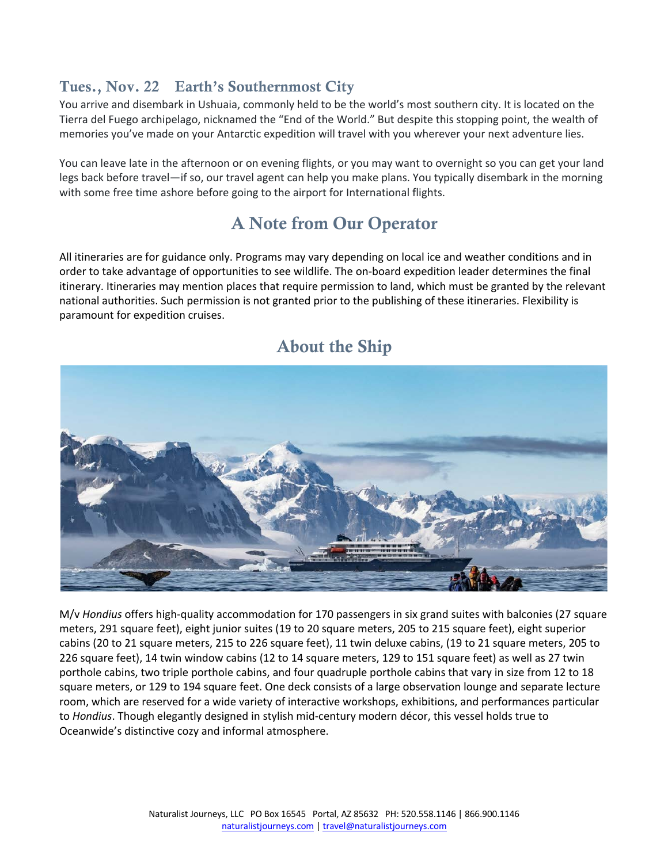### Tues., Nov. 22 Earth's Southernmost City

You arrive and disembark in Ushuaia, commonly held to be the world's most southern city. It is located on the Tierra del Fuego archipelago, nicknamed the "End of the World." But despite this stopping point, the wealth of memories you've made on your Antarctic expedition will travel with you wherever your next adventure lies.

You can leave late in the afternoon or on evening flights, or you may want to overnight so you can get your land legs back before travel—if so, our travel agent can help you make plans. You typically disembark in the morning with some free time ashore before going to the airport for International flights.

# A Note from Our Operator

All itineraries are for guidance only. Programs may vary depending on local ice and weather conditions and in order to take advantage of opportunities to see wildlife. The on-board expedition leader determines the final itinerary. Itineraries may mention places that require permission to land, which must be granted by the relevant national authorities. Such permission is not granted prior to the publishing of these itineraries. Flexibility is paramount for expedition cruises.



### About the Ship

M/v *Hondius* offers high-quality accommodation for 170 passengers in six grand suites with balconies (27 square meters, 291 square feet), eight junior suites (19 to 20 square meters, 205 to 215 square feet), eight superior cabins (20 to 21 square meters, 215 to 226 square feet), 11 twin deluxe cabins, (19 to 21 square meters, 205 to 226 square feet), 14 twin window cabins (12 to 14 square meters, 129 to 151 square feet) as well as 27 twin porthole cabins, two triple porthole cabins, and four quadruple porthole cabins that vary in size from 12 to 18 square meters, or 129 to 194 square feet. One deck consists of a large observation lounge and separate lecture room, which are reserved for a wide variety of interactive workshops, exhibitions, and performances particular to *Hondius*. Though elegantly designed in stylish mid-century modern décor, this vessel holds true to Oceanwide's distinctive cozy and informal atmosphere.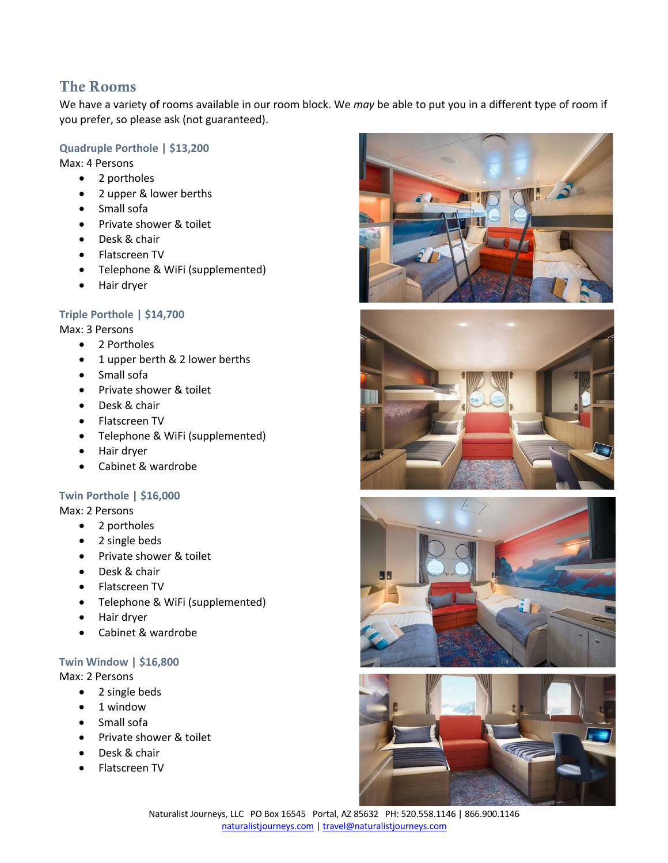### The Rooms

We have a variety of rooms available in our room block. We *may* be able to put you in a different type of room if you prefer, so please ask (not guaranteed).

#### **Quadruple Porthole | \$13,200**

Max: 4 Persons

- 2 portholes
- 2 upper & lower berths
- Small sofa
- Private shower & toilet
- Desk & chair
- Flatscreen TV
- Telephone & WiFi (supplemented)
- Hair dryer

#### **Triple Porthole | \$14,700**

Max: 3 Persons

- 2 Portholes
- 1 upper berth & 2 lower berths
- Small sofa
- Private shower & toilet
- Desk & chair
- Flatscreen TV
- Telephone & WiFi (supplemented)
- Hair dryer
- Cabinet & wardrobe

#### **Twin Porthole | \$16,000**

Max: 2 Persons

- 2 portholes
- 2 single beds
- Private shower & toilet
- Desk & chair
- Flatscreen TV
- Telephone & WiFi (supplemented)
- Hair dryer
- Cabinet & wardrobe

#### **Twin Window | \$16,800**

Max: 2 Persons

- 2 single beds
- 1 window
- Small sofa
- Private shower & toilet
- Desk & chair
- Flatscreen TV







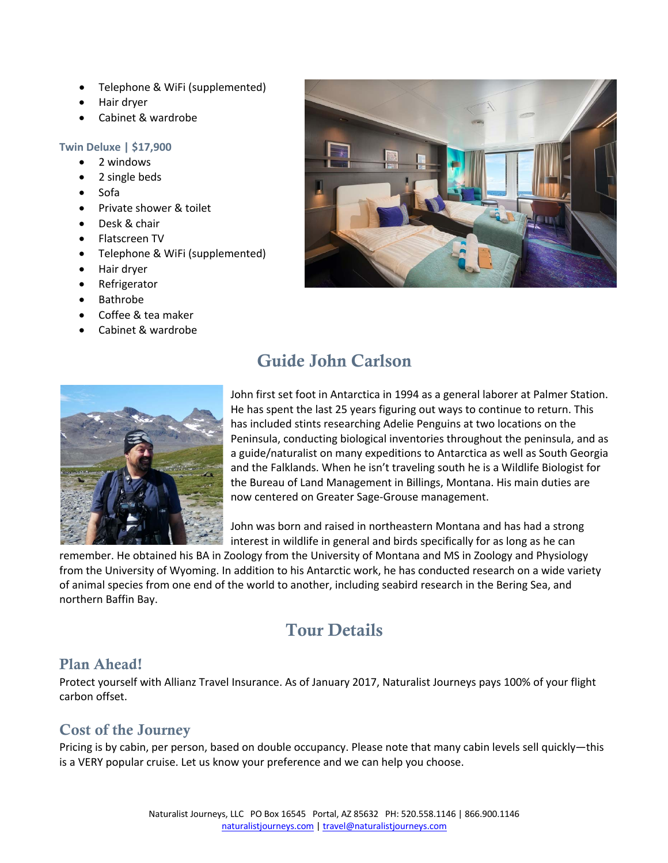- Telephone & WiFi (supplemented)
- Hair dryer
- Cabinet & wardrobe

#### **Twin Deluxe | \$17,900**

- 2 windows
- 2 single beds
- Sofa
- Private shower & toilet
- Desk & chair
- Flatscreen TV
- Telephone & WiFi (supplemented)
- Hair dryer
- Refrigerator
- Bathrobe
- Coffee & tea maker
- Cabinet & wardrobe



# Guide John Carlson



John first set foot in Antarctica in 1994 as a general laborer at Palmer Station. He has spent the last 25 years figuring out ways to continue to return. This has included stints researching Adelie Penguins at two locations on the Peninsula, conducting biological inventories throughout the peninsula, and as a guide/naturalist on many expeditions to Antarctica as well as South Georgia and the Falklands. When he isn't traveling south he is a Wildlife Biologist for the Bureau of Land Management in Billings, Montana. His main duties are now centered on Greater Sage-Grouse management.

John was born and raised in northeastern Montana and has had a strong interest in wildlife in general and birds specifically for as long as he can

remember. He obtained his BA in Zoology from the University of Montana and MS in Zoology and Physiology from the University of Wyoming. In addition to his Antarctic work, he has conducted research on a wide variety of animal species from one end of the world to another, including seabird research in the Bering Sea, and northern Baffin Bay.

## Tour Details

### Plan Ahead!

Protect yourself with Allianz Travel Insurance. As of January 2017, Naturalist Journeys pays 100% of your flight carbon offset.

### Cost of the Journey

Pricing is by cabin, per person, based on double occupancy. Please note that many cabin levels sell quickly—this is a VERY popular cruise. Let us know your preference and we can help you choose.